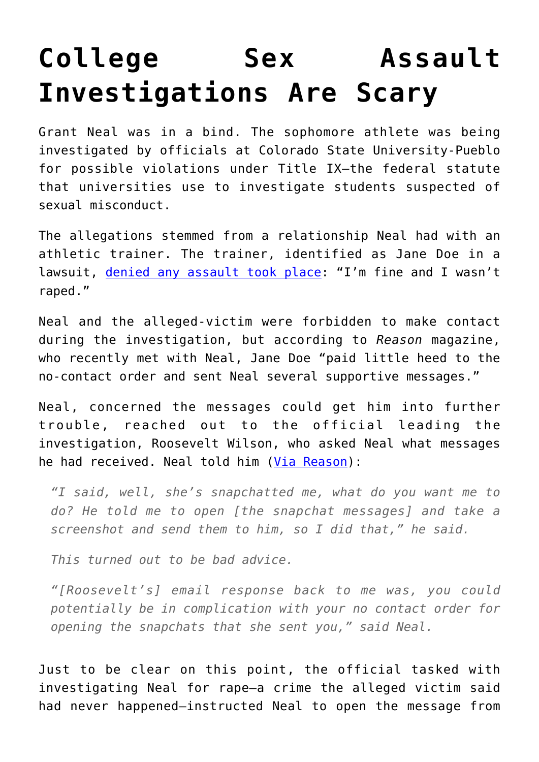## **[College Sex Assault](https://intellectualtakeout.org/2017/02/college-sex-assault-investigations-are-scary/) [Investigations Are Scary](https://intellectualtakeout.org/2017/02/college-sex-assault-investigations-are-scary/)**

Grant Neal was in a bind. The sophomore athlete was being investigated by officials at Colorado State University-Pueblo for possible violations under Title IX—the federal statute that universities use to investigate students suspected of sexual misconduct.

The allegations stemmed from a relationship Neal had with an athletic trainer. The trainer, identified as Jane Doe in a lawsuit, [denied any assault took place](http://www.mediaite.com/opinion/woman-swears-i-wasnt-raped-university-kicks-out-male-student-anyway/): "I'm fine and I wasn't raped."

Neal and the alleged-victim were forbidden to make contact during the investigation, but according to *Reason* magazine, who recently met with Neal, Jane Doe "paid little heed to the no-contact order and sent Neal several supportive messages."

Neal, concerned the messages could get him into further trouble, reached out to the official leading the investigation, Roosevelt Wilson, who asked Neal what messages he had received. Neal told him ([Via Reason\)](http://reason.com/blog/2017/02/27/interview-student-expelled-for-rape-even):

*"I said, well, she's snapchatted me, what do you want me to do? He told me to open [the snapchat messages] and take a screenshot and send them to him, so I did that," he said.*

*This turned out to be bad advice.*

*"[Roosevelt's] email response back to me was, you could potentially be in complication with your no contact order for opening the snapchats that she sent you," said Neal.*

Just to be clear on this point, the official tasked with investigating Neal for rape—a crime the alleged victim said had never happened—instructed Neal to open the message from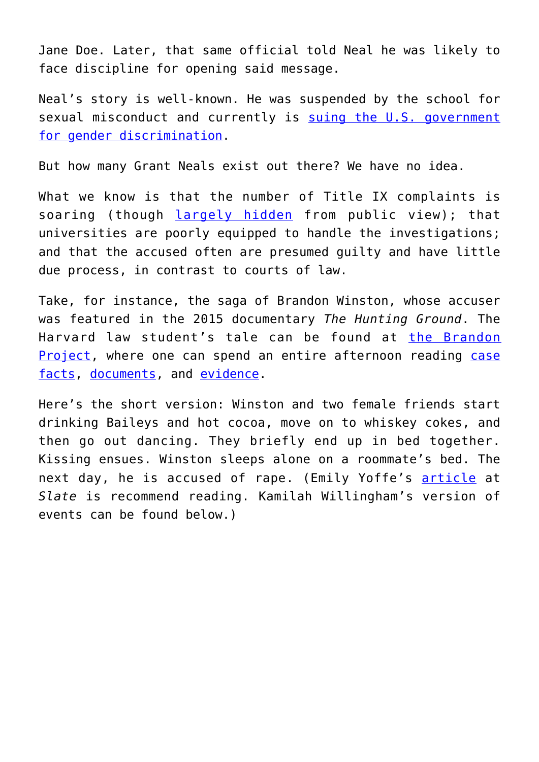Jane Doe. Later, that same official told Neal he was likely to face discipline for opening said message.

Neal's story is well-known. He was suspended by the school for sexual misconduct and currently is [suing the U.S. government](http://www.newsweek.com/grant-neal-lawsuit-sexual-assault-pueblo-450334) [for gender discrimination.](http://www.newsweek.com/grant-neal-lawsuit-sexual-assault-pueblo-450334)

But how many Grant Neals exist out there? We have no idea.

What we know is that the number of Title IX complaints is soaring (though [largely hidden](http://www.huffingtonpost.com/entry/title-ix-investigations-sexual-harassment_us_575f4b0ee4b053d433061b3d) from public view); that universities are poorly equipped to handle the investigations; and that the accused often are presumed guilty and have little due process, in contrast to courts of law.

Take, for instance, the saga of Brandon Winston, whose accuser was featured in the 2015 documentary *The Hunting Ground*. The Harvard law student's tale can be found at [the Brandon](http://brandonproject.org/) [Project,](http://brandonproject.org/) where one can spend an entire afternoon reading [case](http://brandonproject.org/the-facts/) [facts](http://brandonproject.org/the-facts/), [documents,](http://brandonproject.org/court-documents/) and [evidence](http://brandonproject.org/exhibits/).

Here's the short version: Winston and two female friends start drinking Baileys and hot cocoa, move on to whiskey cokes, and then go out dancing. They briefly end up in bed together. Kissing ensues. Winston sleeps alone on a roommate's bed. The next day, he is accused of rape. (Emily Yoffe's [article](http://www.slate.com/articles/news_and_politics/doublex/2015/06/the_hunting_ground_a_closer_look_at_the_influential_documentary_reveals.html) at *Slate* is recommend reading. Kamilah Willingham's version of events can be found below.)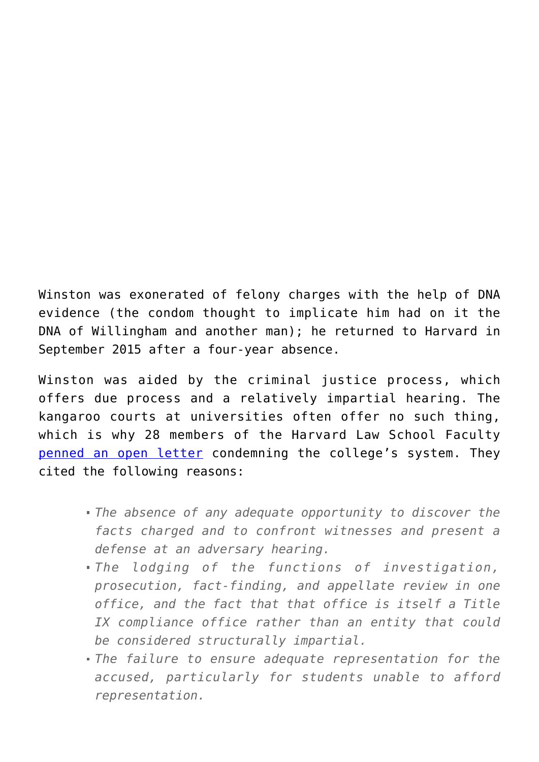Winston was exonerated of felony charges with the help of DNA evidence (the condom thought to implicate him had on it the DNA of Willingham and another man); he returned to Harvard in September 2015 after a four-year absence.

Winston was aided by the criminal justice process, which offers due process and a relatively impartial hearing. The kangaroo courts at universities often offer no such thing, which is why 28 members of the Harvard Law School Faculty [penned an open letter](http://www.bostonglobe.com/opinion/2014/10/14/rethink-harvard-sexual-harassment-policy/HFDDiZN7nU2UwuUuWMnqbM/story.html) condemning the college's system. They cited the following reasons:

- *The absence of any adequate opportunity to discover the facts charged and to confront witnesses and present a defense at an adversary hearing.*
- *The lodging of the functions of investigation, prosecution, fact-finding, and appellate review in one office, and the fact that that office is itself a Title IX compliance office rather than an entity that could be considered structurally impartial.*
- *The failure to ensure adequate representation for the accused, particularly for students unable to afford representation.*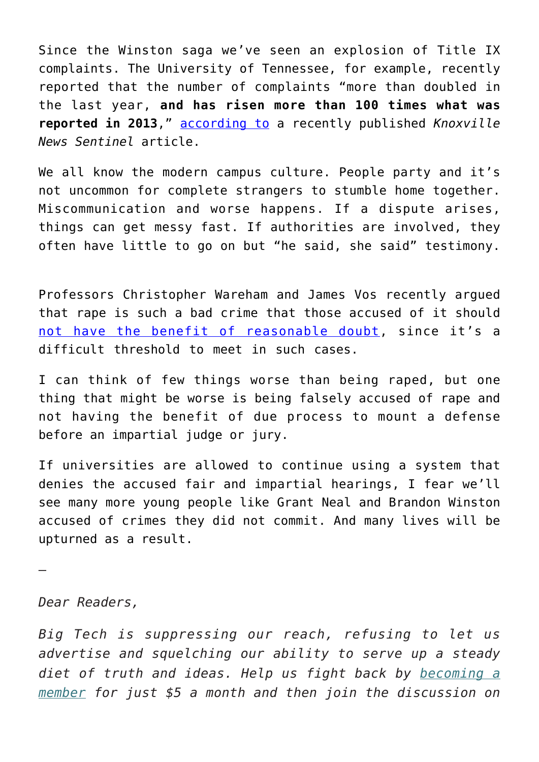Since the Winston saga we've seen an explosion of Title IX complaints. The University of Tennessee, for example, recently reported that the number of complaints "more than doubled in the last year, **and has risen more than 100 times what was reported in 2013**," [according to](http://www.knoxnews.com/story/news/education/2017/01/22/ut-title-ix-complaints-rise-due-reporting-changes/96662738/) a recently published *Knoxville News Sentinel* article.

We all know the modern campus culture. People party and it's not uncommon for complete strangers to stumble home together. Miscommunication and worse happens. If a dispute arises, things can get messy fast. If authorities are involved, they often have little to go on but "he said, she said" testimony.

Professors Christopher Wareham and James Vos recently argued that rape is such a bad crime that those accused of it should [not have the benefit of reasonable doubt,](https://aeon.co/ideas/why-rape-cases-should-not-be-subject-to-reasonable-doubt) since it's a difficult threshold to meet in such cases.

I can think of few things worse than being raped, but one thing that might be worse is being falsely accused of rape and not having the benefit of due process to mount a defense before an impartial judge or jury.

If universities are allowed to continue using a system that denies the accused fair and impartial hearings, I fear we'll see many more young people like Grant Neal and Brandon Winston accused of crimes they did not commit. And many lives will be upturned as a result.

—

*Dear Readers,*

*Big Tech is suppressing our reach, refusing to let us advertise and squelching our ability to serve up a steady diet of truth and ideas. Help us fight back by [becoming a](https://www.chroniclesmagazine.org/subscribe/) [member](https://www.chroniclesmagazine.org/subscribe/) for just \$5 a month and then join the discussion on*